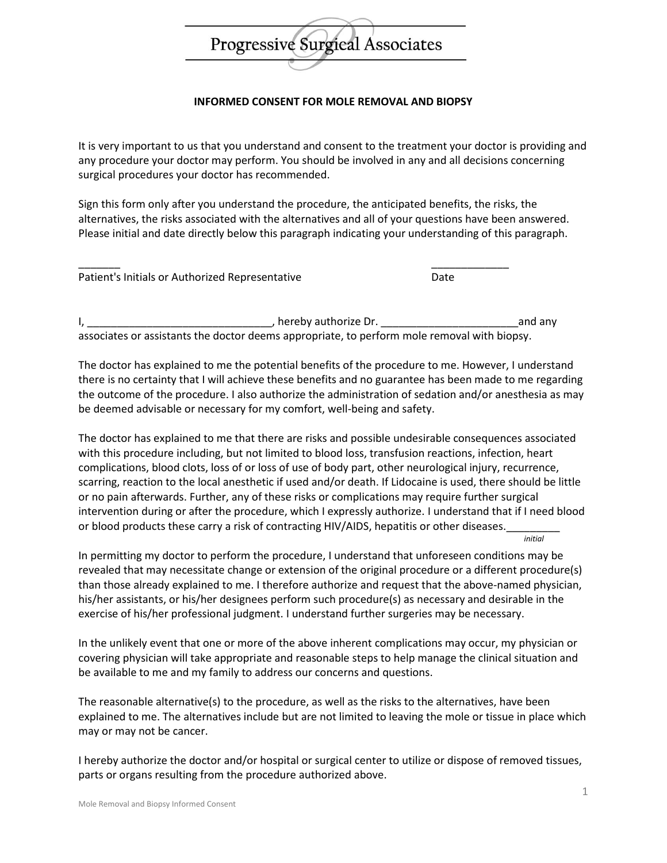

## **INFORMED CONSENT FOR MOLE REMOVAL AND BIOPSY**

It is very important to us that you understand and consent to the treatment your doctor is providing and any procedure your doctor may perform. You should be involved in any and all decisions concerning surgical procedures your doctor has recommended.

Sign this form only after you understand the procedure, the anticipated benefits, the risks, the alternatives, the risks associated with the alternatives and all of your questions have been answered. Please initial and date directly below this paragraph indicating your understanding of this paragraph.

| Patient's Initials or Authorized Representative | Date |
|-------------------------------------------------|------|

I, \_\_\_\_\_\_\_\_\_\_\_\_\_\_\_\_\_\_\_\_\_\_\_\_\_\_\_\_\_\_\_, hereby authorize Dr. \_\_\_\_\_\_\_\_\_\_\_\_\_\_\_\_\_\_\_\_\_\_\_and any associates or assistants the doctor deems appropriate, to perform mole removal with biopsy.

The doctor has explained to me the potential benefits of the procedure to me. However, I understand there is no certainty that I will achieve these benefits and no guarantee has been made to me regarding the outcome of the procedure. I also authorize the administration of sedation and/or anesthesia as may be deemed advisable or necessary for my comfort, well-being and safety.

The doctor has explained to me that there are risks and possible undesirable consequences associated with this procedure including, but not limited to blood loss, transfusion reactions, infection, heart complications, blood clots, loss of or loss of use of body part, other neurological injury, recurrence, scarring, reaction to the local anesthetic if used and/or death. If Lidocaine is used, there should be little or no pain afterwards. Further, any of these risks or complications may require further surgical intervention during or after the procedure, which I expressly authorize. I understand that if I need blood or blood products these carry a risk of contracting HIV/AIDS, hepatitis or other diseases.

In permitting my doctor to perform the procedure, I understand that unforeseen conditions may be revealed that may necessitate change or extension of the original procedure or a different procedure(s) than those already explained to me. I therefore authorize and request that the above-named physician, his/her assistants, or his/her designees perform such procedure(s) as necessary and desirable in the exercise of his/her professional judgment. I understand further surgeries may be necessary.

In the unlikely event that one or more of the above inherent complications may occur, my physician or covering physician will take appropriate and reasonable steps to help manage the clinical situation and be available to me and my family to address our concerns and questions.

The reasonable alternative(s) to the procedure, as well as the risks to the alternatives, have been explained to me. The alternatives include but are not limited to leaving the mole or tissue in place which may or may not be cancer.

I hereby authorize the doctor and/or hospital or surgical center to utilize or dispose of removed tissues, parts or organs resulting from the procedure authorized above.

*initial*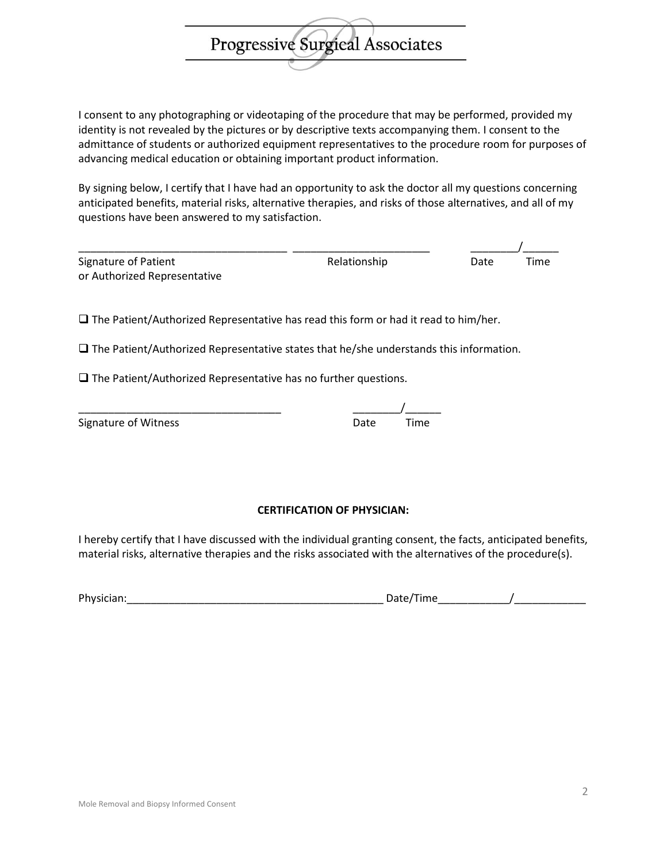I consent to any photographing or videotaping of the procedure that may be performed, provided my identity is not revealed by the pictures or by descriptive texts accompanying them. I consent to the admittance of students or authorized equipment representatives to the procedure room for purposes of advancing medical education or obtaining important product information.

Progressive Surgical Associates

By signing below, I certify that I have had an opportunity to ask the doctor all my questions concerning anticipated benefits, material risks, alternative therapies, and risks of those alternatives, and all of my questions have been answered to my satisfaction.

| Signature of Patient         | Relationship | Date | Time |
|------------------------------|--------------|------|------|
| or Authorized Representative |              |      |      |

 $\square$  The Patient/Authorized Representative has read this form or had it read to him/her.

 $\square$  The Patient/Authorized Representative states that he/she understands this information.

 $\square$  The Patient/Authorized Representative has no further questions.

| Signature of Witness | Date | Time |
|----------------------|------|------|
|                      |      |      |

| <b>Signature of Witness</b> | Date | Time |
|-----------------------------|------|------|

## **CERTIFICATION OF PHYSICIAN:**

I hereby certify that I have discussed with the individual granting consent, the facts, anticipated benefits, material risks, alternative therapies and the risks associated with the alternatives of the procedure(s).

| Physic<br>.<br>____ | -<br>$ -$ |  |
|---------------------|-----------|--|
|                     |           |  |